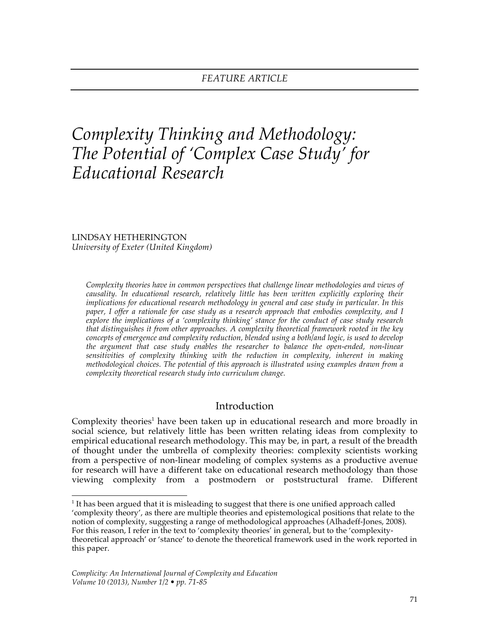# *Complexity Thinking and Methodology: The Potential of 'Complex Case Study' for Educational Research*

LINDSAY HETHERINGTON *University of Exeter (United Kingdom)*

*Complexity theories have in common perspectives that challenge linear methodologies and views of causality. In educational research, relatively little has been written explicitly exploring their implications for educational research methodology in general and case study in particular. In this paper, I offer a rationale for case study as a research approach that embodies complexity, and I explore the implications of a 'complexity thinking' stance for the conduct of case study research that distinguishes it from other approaches. A complexity theoretical framework rooted in the key concepts of emergence and complexity reduction, blended using a both/and logic, is used to develop the argument that case study enables the researcher to balance the open-ended, non-linear sensitivities of complexity thinking with the reduction in complexity, inherent in making methodological choices. The potential of this approach is illustrated using examples drawn from a complexity theoretical research study into curriculum change.* 

# Introduction

Complexity theories<sup>1</sup> have been taken up in educational research and more broadly in social science, but relatively little has been written relating ideas from complexity to empirical educational research methodology. This may be, in part, a result of the breadth of thought under the umbrella of complexity theories: complexity scientists working from a perspective of non-linear modeling of complex systems as a productive avenue for research will have a different take on educational research methodology than those viewing complexity from a postmodern or poststructural frame. Different

 $\frac{1}{1}$  $<sup>1</sup>$  It has been argued that it is misleading to suggest that there is one unified approach called</sup> 'complexity theory', as there are multiple theories and epistemological positions that relate to the notion of complexity, suggesting a range of methodological approaches (Alhadeff-Jones, 2008). For this reason, I refer in the text to 'complexity theories' in general, but to the 'complexitytheoretical approach' or 'stance' to denote the theoretical framework used in the work reported in this paper.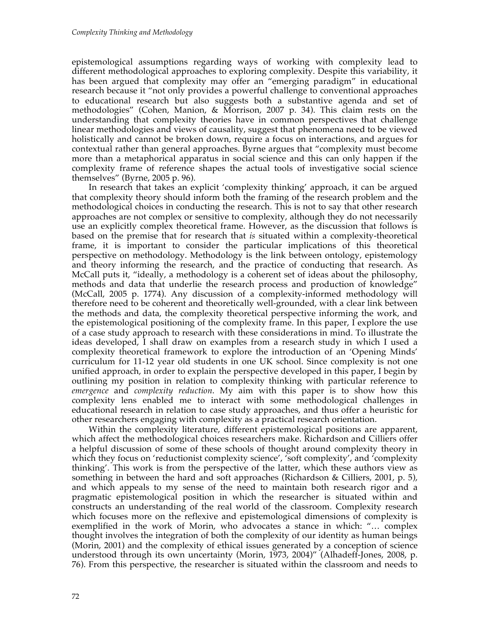epistemological assumptions regarding ways of working with complexity lead to different methodological approaches to exploring complexity. Despite this variability, it has been argued that complexity may offer an "emerging paradigm" in educational research because it "not only provides a powerful challenge to conventional approaches to educational research but also suggests both a substantive agenda and set of methodologies" (Cohen, Manion, & Morrison, 2007 p. 34). This claim rests on the understanding that complexity theories have in common perspectives that challenge linear methodologies and views of causality, suggest that phenomena need to be viewed holistically and cannot be broken down, require a focus on interactions, and argues for contextual rather than general approaches. Byrne argues that "complexity must become more than a metaphorical apparatus in social science and this can only happen if the complexity frame of reference shapes the actual tools of investigative social science themselves" (Byrne, 2005 p. 96).

In research that takes an explicit 'complexity thinking' approach, it can be argued that complexity theory should inform both the framing of the research problem and the methodological choices in conducting the research. This is not to say that other research approaches are not complex or sensitive to complexity, although they do not necessarily use an explicitly complex theoretical frame. However, as the discussion that follows is based on the premise that for research that *is* situated within a complexity-theoretical frame, it is important to consider the particular implications of this theoretical perspective on methodology. Methodology is the link between ontology, epistemology and theory informing the research, and the practice of conducting that research. As McCall puts it, "ideally, a methodology is a coherent set of ideas about the philosophy, methods and data that underlie the research process and production of knowledge" (McCall, 2005 p. 1774). Any discussion of a complexity-informed methodology will therefore need to be coherent and theoretically well-grounded, with a clear link between the methods and data, the complexity theoretical perspective informing the work, and the epistemological positioning of the complexity frame. In this paper, I explore the use of a case study approach to research with these considerations in mind. To illustrate the ideas developed, I shall draw on examples from a research study in which I used a complexity theoretical framework to explore the introduction of an 'Opening Minds' curriculum for 11-12 year old students in one UK school. Since complexity is not one unified approach, in order to explain the perspective developed in this paper, I begin by outlining my position in relation to complexity thinking with particular reference to *emergence* and *complexity reduction*. My aim with this paper is to show how this complexity lens enabled me to interact with some methodological challenges in educational research in relation to case study approaches, and thus offer a heuristic for other researchers engaging with complexity as a practical research orientation.

Within the complexity literature, different epistemological positions are apparent, which affect the methodological choices researchers make. Richardson and Cilliers offer a helpful discussion of some of these schools of thought around complexity theory in which they focus on 'reductionist complexity science', 'soft complexity', and 'complexity thinking'. This work is from the perspective of the latter, which these authors view as something in between the hard and soft approaches (Richardson & Cilliers, 2001, p. 5), and which appeals to my sense of the need to maintain both research rigor and a pragmatic epistemological position in which the researcher is situated within and constructs an understanding of the real world of the classroom. Complexity research which focuses more on the reflexive and epistemological dimensions of complexity is exemplified in the work of Morin, who advocates a stance in which: "… complex thought involves the integration of both the complexity of our identity as human beings (Morin, 2001) and the complexity of ethical issues generated by a conception of science understood through its own uncertainty (Morin, 1973, 2004)" (Alhadeff-Jones, 2008, p. 76). From this perspective, the researcher is situated within the classroom and needs to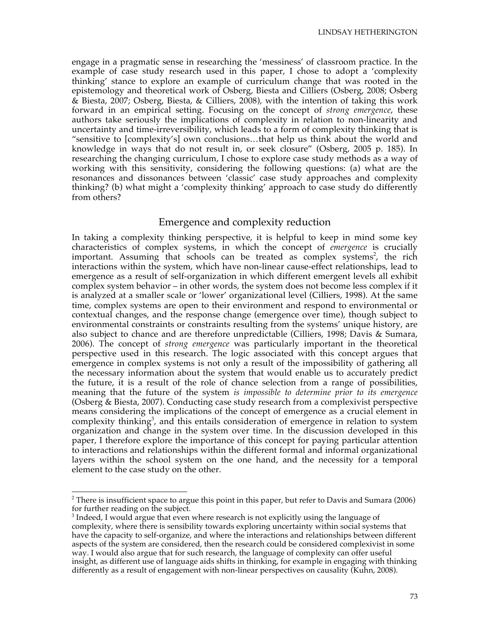engage in a pragmatic sense in researching the 'messiness' of classroom practice. In the example of case study research used in this paper, I chose to adopt a 'complexity thinking' stance to explore an example of curriculum change that was rooted in the epistemology and theoretical work of Osberg, Biesta and Cilliers (Osberg, 2008; Osberg & Biesta, 2007; Osberg, Biesta, & Cilliers, 2008), with the intention of taking this work forward in an empirical setting. Focusing on the concept of *strong emergence*, these authors take seriously the implications of complexity in relation to non-linearity and uncertainty and time-irreversibility, which leads to a form of complexity thinking that is "sensitive to [complexity's] own conclusions…that help us think about the world and knowledge in ways that do not result in, or seek closure" (Osberg, 2005 p. 185). In researching the changing curriculum, I chose to explore case study methods as a way of working with this sensitivity, considering the following questions: (a) what are the resonances and dissonances between 'classic' case study approaches and complexity thinking? (b) what might a 'complexity thinking' approach to case study do differently from others?

### Emergence and complexity reduction

In taking a complexity thinking perspective, it is helpful to keep in mind some key characteristics of complex systems, in which the concept of *emergence* is crucially important. Assuming that schools can be treated as complex systems<sup>2</sup>, the rich interactions within the system, which have non-linear cause-effect relationships, lead to emergence as a result of self-organization in which different emergent levels all exhibit complex system behavior – in other words, the system does not become less complex if it is analyzed at a smaller scale or 'lower' organizational level (Cilliers, 1998). At the same time, complex systems are open to their environment and respond to environmental or contextual changes, and the response change (emergence over time), though subject to environmental constraints or constraints resulting from the systems' unique history, are also subject to chance and are therefore unpredictable (Cilliers, 1998; Davis & Sumara, 2006). The concept of *strong emergence* was particularly important in the theoretical perspective used in this research. The logic associated with this concept argues that emergence in complex systems is not only a result of the impossibility of gathering all the necessary information about the system that would enable us to accurately predict the future, it is a result of the role of chance selection from a range of possibilities, meaning that the future of the system *is impossible to determine prior to its emergence*  (Osberg & Biesta, 2007). Conducting case study research from a complexivist perspective means considering the implications of the concept of emergence as a crucial element in complexity thinking<sup>3</sup>, and this entails consideration of emergence in relation to system organization and change in the system over time. In the discussion developed in this paper, I therefore explore the importance of this concept for paying particular attention to interactions and relationships within the different formal and informal organizational layers within the school system on the one hand, and the necessity for a temporal element to the case study on the other.

 $\frac{1}{2}$  $2$  There is insufficient space to argue this point in this paper, but refer to Davis and Sumara (2006) for further reading on the subject.

<sup>&</sup>lt;sup>3</sup> Indeed, I would argue that even where research is not explicitly using the language of complexity, where there is sensibility towards exploring uncertainty within social systems that have the capacity to self-organize, and where the interactions and relationships between different aspects of the system are considered, then the research could be considered complexivist in some way. I would also argue that for such research, the language of complexity can offer useful insight, as different use of language aids shifts in thinking, for example in engaging with thinking differently as a result of engagement with non-linear perspectives on causality (Kuhn, 2008).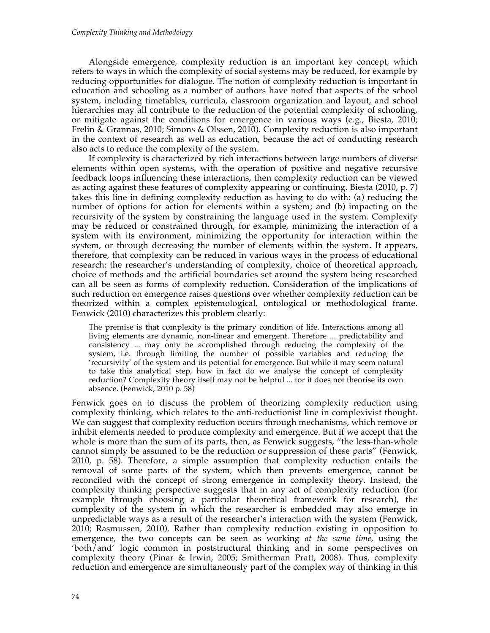Alongside emergence, complexity reduction is an important key concept, which refers to ways in which the complexity of social systems may be reduced, for example by reducing opportunities for dialogue. The notion of complexity reduction is important in education and schooling as a number of authors have noted that aspects of the school system, including timetables, curricula, classroom organization and layout, and school hierarchies may all contribute to the reduction of the potential complexity of schooling, or mitigate against the conditions for emergence in various ways (e.g., Biesta, 2010; Frelin & Grannas, 2010; Simons & Olssen, 2010). Complexity reduction is also important in the context of research as well as education, because the act of conducting research also acts to reduce the complexity of the system.

If complexity is characterized by rich interactions between large numbers of diverse elements within open systems, with the operation of positive and negative recursive feedback loops influencing these interactions, then complexity reduction can be viewed as acting against these features of complexity appearing or continuing. Biesta (2010, p. 7) takes this line in defining complexity reduction as having to do with: (a) reducing the number of options for action for elements within a system; and (b) impacting on the recursivity of the system by constraining the language used in the system. Complexity may be reduced or constrained through, for example, minimizing the interaction of a system with its environment, minimizing the opportunity for interaction within the system, or through decreasing the number of elements within the system. It appears, therefore, that complexity can be reduced in various ways in the process of educational research: the researcher's understanding of complexity, choice of theoretical approach, choice of methods and the artificial boundaries set around the system being researched can all be seen as forms of complexity reduction. Consideration of the implications of such reduction on emergence raises questions over whether complexity reduction can be theorized within a complex epistemological, ontological or methodological frame. Fenwick (2010) characterizes this problem clearly:

The premise is that complexity is the primary condition of life. Interactions among all living elements are dynamic, non-linear and emergent. Therefore ... predictability and consistency ... may only be accomplished through reducing the complexity of the system, i.e. through limiting the number of possible variables and reducing the 'recursivity' of the system and its potential for emergence. But while it may seem natural to take this analytical step, how in fact do we analyse the concept of complexity reduction? Complexity theory itself may not be helpful ... for it does not theorise its own absence. (Fenwick, 2010 p. 58)

Fenwick goes on to discuss the problem of theorizing complexity reduction using complexity thinking, which relates to the anti-reductionist line in complexivist thought. We can suggest that complexity reduction occurs through mechanisms, which remove or inhibit elements needed to produce complexity and emergence. But if we accept that the whole is more than the sum of its parts, then, as Fenwick suggests, "the less-than-whole cannot simply be assumed to be the reduction or suppression of these parts" (Fenwick, 2010, p. 58). Therefore, a simple assumption that complexity reduction entails the removal of some parts of the system, which then prevents emergence, cannot be reconciled with the concept of strong emergence in complexity theory. Instead, the complexity thinking perspective suggests that in any act of complexity reduction (for example through choosing a particular theoretical framework for research), the complexity of the system in which the researcher is embedded may also emerge in unpredictable ways as a result of the researcher's interaction with the system (Fenwick, 2010; Rasmussen, 2010). Rather than complexity reduction existing in opposition to emergence, the two concepts can be seen as working *at the same time*, using the 'both/and' logic common in poststructural thinking and in some perspectives on complexity theory (Pinar & Irwin, 2005; Smitherman Pratt, 2008). Thus, complexity reduction and emergence are simultaneously part of the complex way of thinking in this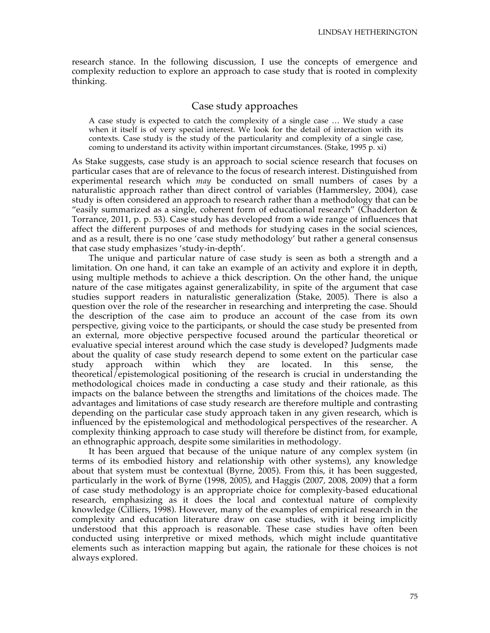research stance. In the following discussion, I use the concepts of emergence and complexity reduction to explore an approach to case study that is rooted in complexity thinking.

## Case study approaches

A case study is expected to catch the complexity of a single case … We study a case when it itself is of very special interest. We look for the detail of interaction with its contexts. Case study is the study of the particularity and complexity of a single case, coming to understand its activity within important circumstances. (Stake, 1995 p. xi)

As Stake suggests, case study is an approach to social science research that focuses on particular cases that are of relevance to the focus of research interest. Distinguished from experimental research which *may* be conducted on small numbers of cases by a naturalistic approach rather than direct control of variables (Hammersley, 2004), case study is often considered an approach to research rather than a methodology that can be "easily summarized as a single, coherent form of educational research" (Chadderton  $\&$ Torrance, 2011, p. p. 53). Case study has developed from a wide range of influences that affect the different purposes of and methods for studying cases in the social sciences, and as a result, there is no one 'case study methodology' but rather a general consensus that case study emphasizes 'study-in-depth'.

The unique and particular nature of case study is seen as both a strength and a limitation. On one hand, it can take an example of an activity and explore it in depth, using multiple methods to achieve a thick description. On the other hand, the unique nature of the case mitigates against generalizability, in spite of the argument that case studies support readers in naturalistic generalization (Stake, 2005). There is also a question over the role of the researcher in researching and interpreting the case. Should the description of the case aim to produce an account of the case from its own perspective, giving voice to the participants, or should the case study be presented from an external, more objective perspective focused around the particular theoretical or evaluative special interest around which the case study is developed? Judgments made about the quality of case study research depend to some extent on the particular case study approach within which they are located. In this sense, the theoretical/epistemological positioning of the research is crucial in understanding the methodological choices made in conducting a case study and their rationale, as this impacts on the balance between the strengths and limitations of the choices made. The advantages and limitations of case study research are therefore multiple and contrasting depending on the particular case study approach taken in any given research, which is influenced by the epistemological and methodological perspectives of the researcher. A complexity thinking approach to case study will therefore be distinct from, for example, an ethnographic approach, despite some similarities in methodology.

It has been argued that because of the unique nature of any complex system (in terms of its embodied history and relationship with other systems), any knowledge about that system must be contextual (Byrne, 2005). From this, it has been suggested, particularly in the work of Byrne (1998, 2005), and Haggis (2007, 2008, 2009) that a form of case study methodology is an appropriate choice for complexity-based educational research, emphasizing as it does the local and contextual nature of complexity knowledge (Cilliers, 1998). However, many of the examples of empirical research in the complexity and education literature draw on case studies, with it being implicitly understood that this approach is reasonable. These case studies have often been conducted using interpretive or mixed methods, which might include quantitative elements such as interaction mapping but again, the rationale for these choices is not always explored.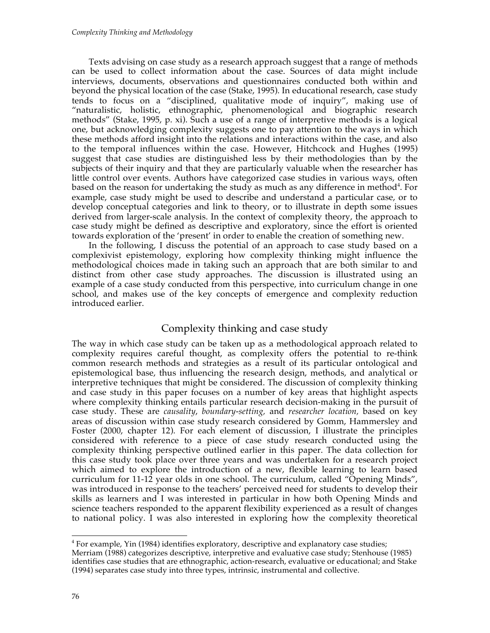Texts advising on case study as a research approach suggest that a range of methods can be used to collect information about the case. Sources of data might include interviews, documents, observations and questionnaires conducted both within and beyond the physical location of the case (Stake, 1995). In educational research, case study tends to focus on a "disciplined, qualitative mode of inquiry", making use of "naturalistic, holistic, ethnographic, phenomenological and biographic research methods" (Stake, 1995, p. xi). Such a use of a range of interpretive methods is a logical one, but acknowledging complexity suggests one to pay attention to the ways in which these methods afford insight into the relations and interactions within the case, and also to the temporal influences within the case. However, Hitchcock and Hughes (1995) suggest that case studies are distinguished less by their methodologies than by the subjects of their inquiry and that they are particularly valuable when the researcher has little control over events. Authors have categorized case studies in various ways, often based on the reason for undertaking the study as much as any difference in method<sup>4</sup>. For example, case study might be used to describe and understand a particular case, or to develop conceptual categories and link to theory, or to illustrate in depth some issues derived from larger-scale analysis. In the context of complexity theory, the approach to case study might be defined as descriptive and exploratory, since the effort is oriented towards exploration of the 'present' in order to enable the creation of something new.

In the following, I discuss the potential of an approach to case study based on a complexivist epistemology, exploring how complexity thinking might influence the methodological choices made in taking such an approach that are both similar to and distinct from other case study approaches. The discussion is illustrated using an example of a case study conducted from this perspective, into curriculum change in one school, and makes use of the key concepts of emergence and complexity reduction introduced earlier.

# Complexity thinking and case study

The way in which case study can be taken up as a methodological approach related to complexity requires careful thought, as complexity offers the potential to re-think common research methods and strategies as a result of its particular ontological and epistemological base, thus influencing the research design, methods, and analytical or interpretive techniques that might be considered. The discussion of complexity thinking and case study in this paper focuses on a number of key areas that highlight aspects where complexity thinking entails particular research decision-making in the pursuit of case study. These are *causality*, *boundary-setting,* and *researcher location,* based on key areas of discussion within case study research considered by Gomm, Hammersley and Foster (2000, chapter 12). For each element of discussion, I illustrate the principles considered with reference to a piece of case study research conducted using the complexity thinking perspective outlined earlier in this paper. The data collection for this case study took place over three years and was undertaken for a research project which aimed to explore the introduction of a new, flexible learning to learn based curriculum for 11-12 year olds in one school. The curriculum, called "Opening Minds", was introduced in response to the teachers' perceived need for students to develop their skills as learners and I was interested in particular in how both Opening Minds and science teachers responded to the apparent flexibility experienced as a result of changes to national policy. I was also interested in exploring how the complexity theoretical

4  $<sup>4</sup>$  For example, Yin (1984) identifies exploratory, descriptive and explanatory case studies;</sup> Merriam (1988) categorizes descriptive, interpretive and evaluative case study; Stenhouse (1985) identifies case studies that are ethnographic, action-research, evaluative or educational; and Stake (1994) separates case study into three types, intrinsic, instrumental and collective.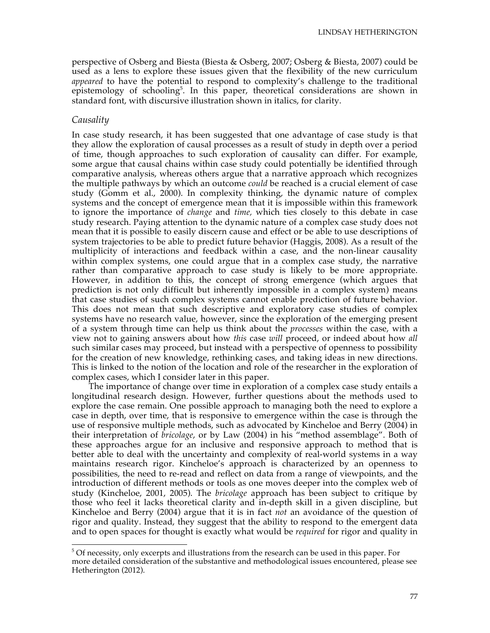perspective of Osberg and Biesta (Biesta & Osberg, 2007; Osberg & Biesta, 2007) could be used as a lens to explore these issues given that the flexibility of the new curriculum *appeared* to have the potential to respond to complexity's challenge to the traditional epistemology of schooling<sup>5</sup>. In this paper, theoretical considerations are shown in standard font, with discursive illustration shown in italics, for clarity.

#### *Causality*

In case study research, it has been suggested that one advantage of case study is that they allow the exploration of causal processes as a result of study in depth over a period of time, though approaches to such exploration of causality can differ. For example, some argue that causal chains within case study could potentially be identified through comparative analysis, whereas others argue that a narrative approach which recognizes the multiple pathways by which an outcome *could* be reached is a crucial element of case study (Gomm et al., 2000). In complexity thinking, the dynamic nature of complex systems and the concept of emergence mean that it is impossible within this framework to ignore the importance of *change* and *time,* which ties closely to this debate in case study research. Paying attention to the dynamic nature of a complex case study does not mean that it is possible to easily discern cause and effect or be able to use descriptions of system trajectories to be able to predict future behavior (Haggis, 2008). As a result of the multiplicity of interactions and feedback within a case, and the non-linear causality within complex systems, one could argue that in a complex case study, the narrative rather than comparative approach to case study is likely to be more appropriate. However, in addition to this, the concept of strong emergence (which argues that prediction is not only difficult but inherently impossible in a complex system) means that case studies of such complex systems cannot enable prediction of future behavior. This does not mean that such descriptive and exploratory case studies of complex systems have no research value, however, since the exploration of the emerging present of a system through time can help us think about the *processes* within the case, with a view not to gaining answers about how *this* case *will* proceed, or indeed about how *all* such similar cases may proceed, but instead with a perspective of openness to possibility for the creation of new knowledge, rethinking cases, and taking ideas in new directions. This is linked to the notion of the location and role of the researcher in the exploration of complex cases, which I consider later in this paper.

The importance of change over time in exploration of a complex case study entails a longitudinal research design. However, further questions about the methods used to explore the case remain. One possible approach to managing both the need to explore a case in depth, over time, that is responsive to emergence within the case is through the use of responsive multiple methods, such as advocated by Kincheloe and Berry (2004) in their interpretation of *bricolage*, or by Law (2004) in his "method assemblage". Both of these approaches argue for an inclusive and responsive approach to method that is better able to deal with the uncertainty and complexity of real-world systems in a way maintains research rigor. Kincheloe's approach is characterized by an openness to possibilities, the need to re-read and reflect on data from a range of viewpoints, and the introduction of different methods or tools as one moves deeper into the complex web of study (Kincheloe, 2001, 2005). The *bricolage* approach has been subject to critique by those who feel it lacks theoretical clarity and in-depth skill in a given discipline, but Kincheloe and Berry (2004) argue that it is in fact *not* an avoidance of the question of rigor and quality. Instead, they suggest that the ability to respond to the emergent data and to open spaces for thought is exactly what would be *required* for rigor and quality in

<sup>-&</sup>lt;br>5  $5$  Of necessity, only excerpts and illustrations from the research can be used in this paper. For more detailed consideration of the substantive and methodological issues encountered, please see Hetherington (2012).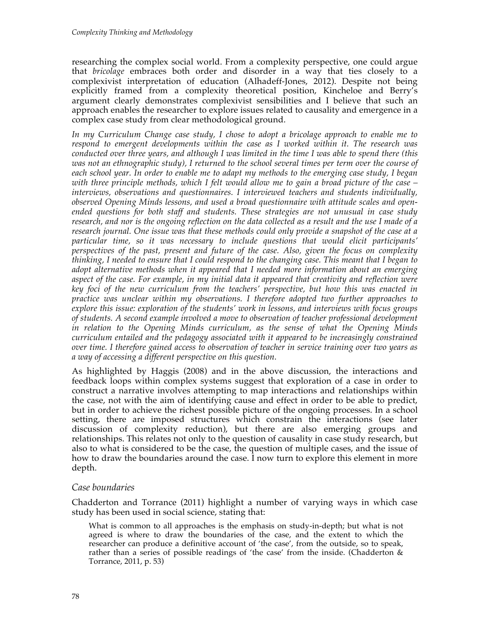researching the complex social world. From a complexity perspective, one could argue that *bricolage* embraces both order and disorder in a way that ties closely to a complexivist interpretation of education (Alhadeff-Jones, 2012). Despite not being explicitly framed from a complexity theoretical position, Kincheloe and Berry's argument clearly demonstrates complexivist sensibilities and I believe that such an approach enables the researcher to explore issues related to causality and emergence in a complex case study from clear methodological ground.

*In my Curriculum Change case study, I chose to adopt a bricolage approach to enable me to respond to emergent developments within the case as I worked within it. The research was conducted over three years, and although I was limited in the time I was able to spend there (this was not an ethnographic study), I returned to the school several times per term over the course of each school year. In order to enable me to adapt my methods to the emerging case study, I began with three principle methods, which I felt would allow me to gain a broad picture of the case – interviews, observations and questionnaires. I interviewed teachers and students individually, observed Opening Minds lessons, and used a broad questionnaire with attitude scales and openended questions for both staff and students. These strategies are not unusual in case study research, and nor is the ongoing reflection on the data collected as a result and the use I made of a research journal. One issue was that these methods could only provide a snapshot of the case at a particular time, so it was necessary to include questions that would elicit participants' perspectives of the past, present and future of the case. Also, given the focus on complexity thinking, I needed to ensure that I could respond to the changing case. This meant that I began to adopt alternative methods when it appeared that I needed more information about an emerging aspect of the case. For example, in my initial data it appeared that creativity and reflection were key foci of the new curriculum from the teachers' perspective, but how this was enacted in practice was unclear within my observations. I therefore adopted two further approaches to explore this issue: exploration of the students' work in lessons, and interviews with focus groups of students. A second example involved a move to observation of teacher professional development in relation to the Opening Minds curriculum, as the sense of what the Opening Minds curriculum entailed and the pedagogy associated with it appeared to be increasingly constrained over time. I therefore gained access to observation of teacher in service training over two years as a way of accessing a different perspective on this question.* 

As highlighted by Haggis (2008) and in the above discussion, the interactions and feedback loops within complex systems suggest that exploration of a case in order to construct a narrative involves attempting to map interactions and relationships within the case, not with the aim of identifying cause and effect in order to be able to predict, but in order to achieve the richest possible picture of the ongoing processes. In a school setting, there are imposed structures which constrain the interactions (see later discussion of complexity reduction), but there are also emerging groups and relationships. This relates not only to the question of causality in case study research, but also to what is considered to be the case, the question of multiple cases, and the issue of how to draw the boundaries around the case. I now turn to explore this element in more depth.

# *Case boundaries*

Chadderton and Torrance (2011) highlight a number of varying ways in which case study has been used in social science, stating that:

What is common to all approaches is the emphasis on study-in-depth; but what is not agreed is where to draw the boundaries of the case, and the extent to which the researcher can produce a definitive account of 'the case', from the outside, so to speak, rather than a series of possible readings of 'the case' from the inside. (Chadderton & Torrance, 2011, p. 53)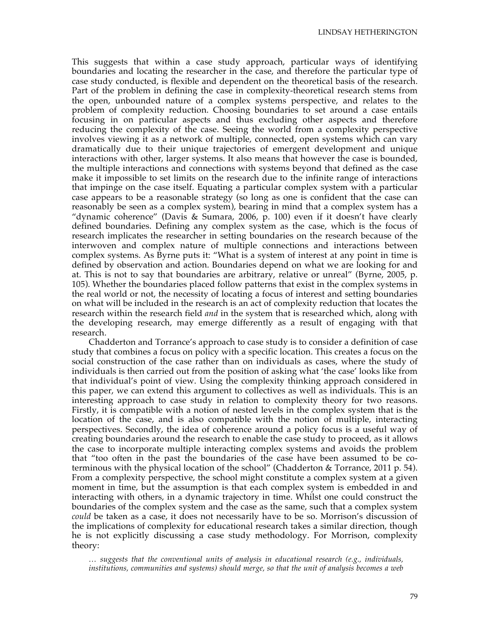This suggests that within a case study approach, particular ways of identifying boundaries and locating the researcher in the case, and therefore the particular type of case study conducted, is flexible and dependent on the theoretical basis of the research. Part of the problem in defining the case in complexity-theoretical research stems from the open, unbounded nature of a complex systems perspective, and relates to the problem of complexity reduction. Choosing boundaries to set around a case entails focusing in on particular aspects and thus excluding other aspects and therefore reducing the complexity of the case. Seeing the world from a complexity perspective involves viewing it as a network of multiple, connected, open systems which can vary dramatically due to their unique trajectories of emergent development and unique interactions with other, larger systems. It also means that however the case is bounded, the multiple interactions and connections with systems beyond that defined as the case make it impossible to set limits on the research due to the infinite range of interactions that impinge on the case itself. Equating a particular complex system with a particular case appears to be a reasonable strategy (so long as one is confident that the case can reasonably be seen as a complex system), bearing in mind that a complex system has a "dynamic coherence" (Davis & Sumara, 2006, p. 100) even if it doesn't have clearly defined boundaries. Defining any complex system as the case, which is the focus of research implicates the researcher in setting boundaries on the research because of the interwoven and complex nature of multiple connections and interactions between complex systems. As Byrne puts it: "What is a system of interest at any point in time is defined by observation and action. Boundaries depend on what we are looking for and at. This is not to say that boundaries are arbitrary, relative or unreal" (Byrne, 2005, p. 105). Whether the boundaries placed follow patterns that exist in the complex systems in the real world or not, the necessity of locating a focus of interest and setting boundaries on what will be included in the research is an act of complexity reduction that locates the research within the research field *and* in the system that is researched which, along with the developing research, may emerge differently as a result of engaging with that research.

Chadderton and Torrance's approach to case study is to consider a definition of case study that combines a focus on policy with a specific location. This creates a focus on the social construction of the case rather than on individuals as cases, where the study of individuals is then carried out from the position of asking what 'the case' looks like from that individual's point of view. Using the complexity thinking approach considered in this paper, we can extend this argument to collectives as well as individuals. This is an interesting approach to case study in relation to complexity theory for two reasons. Firstly, it is compatible with a notion of nested levels in the complex system that is the location of the case, and is also compatible with the notion of multiple, interacting perspectives. Secondly, the idea of coherence around a policy focus is a useful way of creating boundaries around the research to enable the case study to proceed, as it allows the case to incorporate multiple interacting complex systems and avoids the problem that "too often in the past the boundaries of the case have been assumed to be coterminous with the physical location of the school" (Chadderton & Torrance, 2011 p. 54). From a complexity perspective, the school might constitute a complex system at a given moment in time, but the assumption is that each complex system is embedded in and interacting with others, in a dynamic trajectory in time. Whilst one could construct the boundaries of the complex system and the case as the same, such that a complex system *could* be taken as a case, it does not necessarily have to be so. Morrison's discussion of the implications of complexity for educational research takes a similar direction, though he is not explicitly discussing a case study methodology. For Morrison, complexity theory:

*… suggests that the conventional units of analysis in educational research (e.g., individuals, institutions, communities and systems) should merge, so that the unit of analysis becomes a web*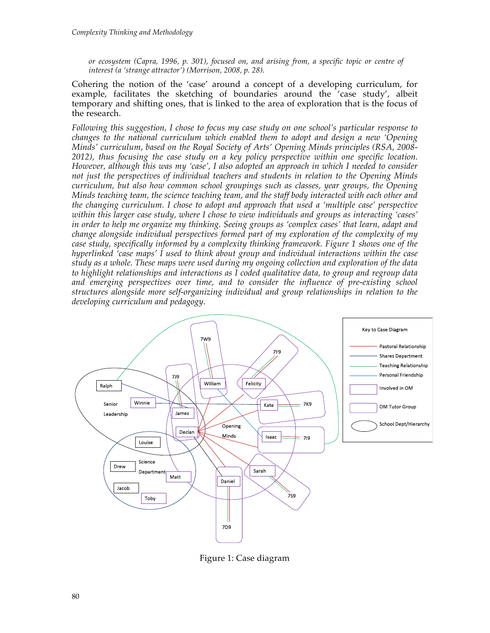*or ecosystem (Capra, 1996, p. 301), focused on, and arising from, a specific topic or centre of interest (a 'strange attractor') (Morrison, 2008, p. 28).* 

Cohering the notion of the 'case' around a concept of a developing curriculum, for example, facilitates the sketching of boundaries around the 'case study', albeit temporary and shifting ones, that is linked to the area of exploration that is the focus of the research.

*Following this suggestion, I chose to focus my case study on one school's particular response to changes to the national curriculum which enabled them to adopt and design a new 'Opening Minds' curriculum, based on the Royal Society of Arts' Opening Minds principles (RSA, 2008- 2012), thus focusing the case study on a key policy perspective within one specific location. However, although this was my 'case', I also adopted an approach in which I needed to consider not just the perspectives of individual teachers and students in relation to the Opening Minds curriculum, but also how common school groupings such as classes, year groups, the Opening Minds teaching team, the science teaching team, and the staff body interacted with each other and the changing curriculum. I chose to adopt and approach that used a 'multiple case' perspective within this larger case study, where I chose to view individuals and groups as interacting 'cases' in order to help me organize my thinking. Seeing groups as 'complex cases' that learn, adapt and change alongside individual perspectives formed part of my exploration of the complexity of my case study, specifically informed by a complexity thinking framework. Figure 1 shows one of the hyperlinked 'case maps' I used to think about group and individual interactions within the case study as a whole. These maps were used during my ongoing collection and exploration of the data to highlight relationships and interactions as I coded qualitative data, to group and regroup data and emerging perspectives over time, and to consider the influence of pre-existing school structures alongside more self-organizing individual and group relationships in relation to the developing curriculum and pedagogy.*



Figure 1: Case diagram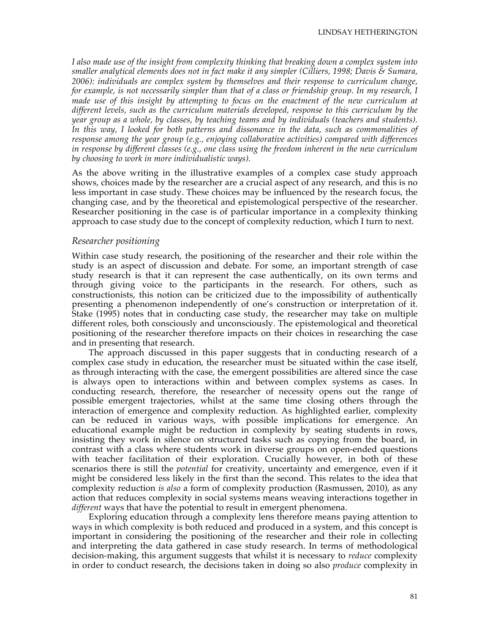*I also made use of the insight from complexity thinking that breaking down a complex system into smaller analytical elements does not in fact make it any simpler (Cilliers, 1998; Davis & Sumara, 2006): individuals are complex system by themselves and their response to curriculum change, for example, is not necessarily simpler than that of a class or friendship group. In my research, I made use of this insight by attempting to focus on the enactment of the new curriculum at different levels, such as the curriculum materials developed, response to this curriculum by the year group as a whole, by classes, by teaching teams and by individuals (teachers and students). In this way, I looked for both patterns and dissonance in the data, such as commonalities of response among the year group (e.g., enjoying collaborative activities) compared with differences in response by different classes (e.g., one class using the freedom inherent in the new curriculum by choosing to work in more individualistic ways).*

As the above writing in the illustrative examples of a complex case study approach shows, choices made by the researcher are a crucial aspect of any research, and this is no less important in case study. These choices may be influenced by the research focus, the changing case, and by the theoretical and epistemological perspective of the researcher. Researcher positioning in the case is of particular importance in a complexity thinking approach to case study due to the concept of complexity reduction, which I turn to next.

#### *Researcher positioning*

Within case study research, the positioning of the researcher and their role within the study is an aspect of discussion and debate. For some, an important strength of case study research is that it can represent the case authentically, on its own terms and through giving voice to the participants in the research. For others, such as constructionists, this notion can be criticized due to the impossibility of authentically presenting a phenomenon independently of one's construction or interpretation of it. Stake (1995) notes that in conducting case study, the researcher may take on multiple different roles, both consciously and unconsciously. The epistemological and theoretical positioning of the researcher therefore impacts on their choices in researching the case and in presenting that research.

The approach discussed in this paper suggests that in conducting research of a complex case study in education, the researcher must be situated within the case itself, as through interacting with the case, the emergent possibilities are altered since the case is always open to interactions within and between complex systems as cases. In conducting research, therefore, the researcher of necessity opens out the range of possible emergent trajectories, whilst at the same time closing others through the interaction of emergence and complexity reduction. As highlighted earlier, complexity can be reduced in various ways, with possible implications for emergence. An educational example might be reduction in complexity by seating students in rows, insisting they work in silence on structured tasks such as copying from the board, in contrast with a class where students work in diverse groups on open-ended questions with teacher facilitation of their exploration. Crucially however, in both of these scenarios there is still the *potential* for creativity, uncertainty and emergence, even if it might be considered less likely in the first than the second. This relates to the idea that complexity reduction *is also* a form of complexity production (Rasmussen, 2010), as any action that reduces complexity in social systems means weaving interactions together in *different* ways that have the potential to result in emergent phenomena.

Exploring education through a complexity lens therefore means paying attention to ways in which complexity is both reduced and produced in a system, and this concept is important in considering the positioning of the researcher and their role in collecting and interpreting the data gathered in case study research. In terms of methodological decision-making, this argument suggests that whilst it is necessary to *reduce* complexity in order to conduct research, the decisions taken in doing so also *produce* complexity in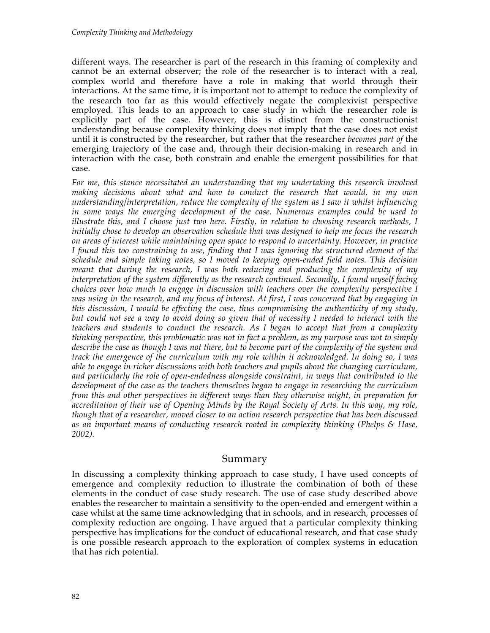different ways. The researcher is part of the research in this framing of complexity and cannot be an external observer; the role of the researcher is to interact with a real, complex world and therefore have a role in making that world through their interactions. At the same time, it is important not to attempt to reduce the complexity of the research too far as this would effectively negate the complexivist perspective employed. This leads to an approach to case study in which the researcher role is explicitly part of the case. However, this is distinct from the constructionist understanding because complexity thinking does not imply that the case does not exist until it is constructed by the researcher, but rather that the researcher *becomes part of* the emerging trajectory of the case and, through their decision-making in research and in interaction with the case, both constrain and enable the emergent possibilities for that case.

*For me, this stance necessitated an understanding that my undertaking this research involved making decisions about what and how to conduct the research that would, in my own understanding/interpretation, reduce the complexity of the system as I saw it whilst influencing*  in some ways the emerging development of the case. Numerous examples could be used to *illustrate this, and I choose just two here. Firstly, in relation to choosing research methods, I initially chose to develop an observation schedule that was designed to help me focus the research on areas of interest while maintaining open space to respond to uncertainty. However, in practice I found this too constraining to use, finding that I was ignoring the structured element of the schedule and simple taking notes, so I moved to keeping open-ended field notes. This decision meant that during the research, I was both reducing and producing the complexity of my interpretation of the system differently as the research continued. Secondly, I found myself facing choices over how much to engage in discussion with teachers over the complexity perspective I was using in the research, and my focus of interest. At first, I was concerned that by engaging in this discussion, I would be effecting the case, thus compromising the authenticity of my study, but could not see a way to avoid doing so given that of necessity I needed to interact with the teachers and students to conduct the research. As I began to accept that from a complexity thinking perspective, this problematic was not in fact a problem, as my purpose was not to simply describe the case as though I was not there, but to become part of the complexity of the system and track the emergence of the curriculum with my role within it acknowledged. In doing so, I was able to engage in richer discussions with both teachers and pupils about the changing curriculum, and particularly the role of open-endedness alongside constraint, in ways that contributed to the development of the case as the teachers themselves began to engage in researching the curriculum from this and other perspectives in different ways than they otherwise might, in preparation for accreditation of their use of Opening Minds by the Royal Society of Arts. In this way, my role, though that of a researcher, moved closer to an action research perspective that has been discussed as an important means of conducting research rooted in complexity thinking (Phelps & Hase, 2002).* 

# Summary

In discussing a complexity thinking approach to case study, I have used concepts of emergence and complexity reduction to illustrate the combination of both of these elements in the conduct of case study research. The use of case study described above enables the researcher to maintain a sensitivity to the open-ended and emergent within a case whilst at the same time acknowledging that in schools, and in research, processes of complexity reduction are ongoing. I have argued that a particular complexity thinking perspective has implications for the conduct of educational research, and that case study is one possible research approach to the exploration of complex systems in education that has rich potential.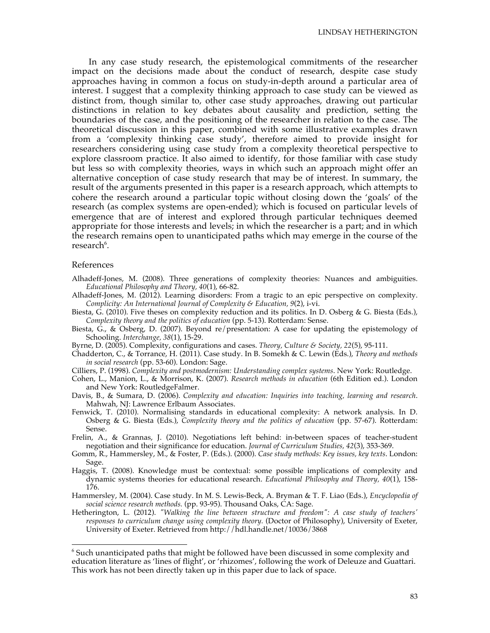In any case study research, the epistemological commitments of the researcher impact on the decisions made about the conduct of research, despite case study approaches having in common a focus on study-in-depth around a particular area of interest. I suggest that a complexity thinking approach to case study can be viewed as distinct from, though similar to, other case study approaches, drawing out particular distinctions in relation to key debates about causality and prediction, setting the boundaries of the case, and the positioning of the researcher in relation to the case. The theoretical discussion in this paper, combined with some illustrative examples drawn from a 'complexity thinking case study', therefore aimed to provide insight for researchers considering using case study from a complexity theoretical perspective to explore classroom practice. It also aimed to identify, for those familiar with case study but less so with complexity theories, ways in which such an approach might offer an alternative conception of case study research that may be of interest. In summary, the result of the arguments presented in this paper is a research approach, which attempts to cohere the research around a particular topic without closing down the 'goals' of the research (as complex systems are open-ended); which is focused on particular levels of emergence that are of interest and explored through particular techniques deemed appropriate for those interests and levels; in which the researcher is a part; and in which the research remains open to unanticipated paths which may emerge in the course of the research<sup>6</sup>.

#### References

- Alhadeff-Jones, M. (2008). Three generations of complexity theories: Nuances and ambiguities. *Educational Philosophy and Theory, 40*(1), 66-82.
- Alhadeff-Jones, M. (2012). Learning disorders: From a tragic to an epic perspective on complexity. *Complicity: An International Journal of Complexity & Education, 9*(2), i-vi.
- Biesta, G. (2010). Five theses on complexity reduction and its politics. In D. Osberg & G. Biesta (Eds.), *Complexity theory and the politics of education* (pp. 5-13). Rotterdam: Sense.
- Biesta, G., & Osberg, D. (2007). Beyond re/presentation: A case for updating the epistemology of Schooling. *Interchange, 38*(1), 15-29.
- Byrne, D. (2005). Complexity, configurations and cases. *Theory, Culture & Society, 22*(5), 95-111.
- Chadderton, C., & Torrance, H. (2011). Case study. In B. Somekh & C. Lewin (Eds.), *Theory and methods in social research* (pp. 53-60). London: Sage.
- Cilliers, P. (1998). *Complexity and postmodernism: Understanding complex systems*. New York: Routledge.
- Cohen, L., Manion, L., & Morrison, K. (2007). *Research methods in education* (6th Edition ed.). London and New York: RoutledgeFalmer.
- Davis, B., & Sumara, D. (2006). *Complexity and education: Inquiries into teaching, learning and research*. Mahwah, NJ: Lawrence Erlbaum Associates.
- Fenwick, T. (2010). Normalising standards in educational complexity: A network analysis. In D. Osberg & G. Biesta (Eds.), *Complexity theory and the politics of education* (pp. 57-67). Rotterdam: Sense.
- Frelin, A., & Grannas, J. (2010). Negotiations left behind: in-between spaces of teacher-student negotiation and their significance for education. *Journal of Curriculum Studies, 42*(3), 353-369.
- Gomm, R., Hammersley, M., & Foster, P. (Eds.). (2000). *Case study methods: Key issues, key texts*. London: Sage.
- Haggis, T. (2008). Knowledge must be contextual: some possible implications of complexity and dynamic systems theories for educational research. *Educational Philosophy and Theory, 40*(1), 158- 176.
- Hammersley, M. (2004). Case study. In M. S. Lewis-Beck, A. Bryman & T. F. Liao (Eds.), *Encyclopedia of social science research methods.* (pp. 93-95). Thousand Oaks, CA: Sage.
- Hetherington, L. (2012). *"Walking the line between structure and freedom": A case study of teachers' responses to curriculum change using complexity theory.* (Doctor of Philosophy), University of Exeter, University of Exeter. Retrieved from http://hdl.handle.net/10036/3868

6  $6$  Such unanticipated paths that might be followed have been discussed in some complexity and education literature as 'lines of flight', or 'rhizomes', following the work of Deleuze and Guattari. This work has not been directly taken up in this paper due to lack of space.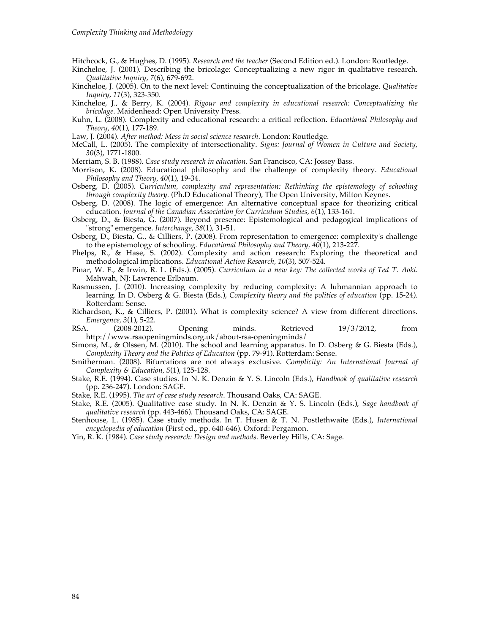Hitchcock, G., & Hughes, D. (1995). *Research and the teacher* (Second Edition ed.). London: Routledge.

- Kincheloe, J. (2001). Describing the bricolage: Conceptualizing a new rigor in qualitative research. *Qualitative Inquiry, 7*(6), 679-692.
- Kincheloe, J. (2005). On to the next level: Continuing the conceptualization of the bricolage. *Qualitative Inquiry, 11*(3), 323-350.
- Kincheloe, J., & Berry, K. (2004). *Rigour and complexity in educational research: Conceptualizing the bricolage*. Maidenhead: Open University Press.
- Kuhn, L. (2008). Complexity and educational research: a critical reflection. *Educational Philosophy and Theory, 40*(1), 177-189.
- Law, J. (2004). *After method: Mess in social science research*. London: Routledge.
- McCall, L. (2005). The complexity of intersectionality. *Signs: Journal of Women in Culture and Society, 30*(3), 1771-1800.
- Merriam, S. B. (1988). *Case study research in education*. San Francisco, CA: Jossey Bass.
- Morrison, K. (2008). Educational philosophy and the challenge of complexity theory. *Educational Philosophy and Theory, 40*(1), 19-34.
- Osberg, D. (2005). *Curriculum, complexity and representation: Rethinking the epistemology of schooling through complexity theory.* (Ph.D Educational Theory), The Open University, Milton Keynes.
- Osberg,  $\ddot{D}$ . (2008). The logic of emergence: An alternative conceptual space for theorizing critical education. *Journal of the Canadian Association for Curriculum Studies, 6*(1), 133-161.
- Osberg, D., & Biesta, G. (2007). Beyond presence: Epistemological and pedagogical implications of "strong" emergence. *Interchange, 38*(1), 31-51.
- Osberg, D., Biesta, G., & Cilliers, P. (2008). From representation to emergence: complexity's challenge to the epistemology of schooling. *Educational Philosophy and Theory, 40*(1), 213-227.
- Phelps, R., & Hase, S. (2002). Complexity and action research: Exploring the theoretical and methodological implications. *Educational Action Research, 10*(3), 507-524.
- Pinar, W. F., & Irwin, R. L. (Eds.). (2005). *Curriculum in a new key: The collected works of Ted T. Aoki*. Mahwah, NJ: Lawrence Erlbaum.
- Rasmussen, J. (2010). Increasing complexity by reducing complexity: A luhmannian approach to learning. In D. Osberg & G. Biesta (Eds.), *Complexity theory and the politics of education* (pp. 15-24). Rotterdam: Sense.
- Richardson, K., & Cilliers, P. (2001). What is complexity science? A view from different directions. *Emergence, 3(1), 5-22.*<br>*RSA.* (2008-2012).
- $(2008-2012)$ . Opening minds. Retrieved  $19/3/2012$ , from http://www.rsaopeningminds.org.uk/about-rsa-openingminds/
- Simons, M., & Olssen, M. (2010). The school and learning apparatus. In D. Osberg & G. Biesta (Eds.), *Complexity Theory and the Politics of Education* (pp. 79-91). Rotterdam: Sense.
- Smitherman. (2008). Bifurcations are not always exclusive. *Complicity: An International Journal of Complexity & Education, 5*(1), 125-128.
- Stake, R.E. (1994). Case studies. In N. K. Denzin & Y. S. Lincoln (Eds.), *Handbook of qualitative research* (pp. 236-247). London: SAGE.

Stake, R.E. (1995). *The art of case study research*. Thousand Oaks, CA: SAGE.

- Stake, R.E. (2005). Qualitative case study. In N. K. Denzin & Y. S. Lincoln (Eds.), *Sage handbook of qualitative research* (pp. 443-466). Thousand Oaks, CA: SAGE.
- Stenhouse, L. (1985). Case study methods. In T. Husen & T. N. Postlethwaite (Eds.), *International encyclopedia of education* (First ed., pp. 640-646). Oxford: Pergamon.
- Yin, R. K. (1984). *Case study research: Design and methods*. Beverley Hills, CA: Sage.